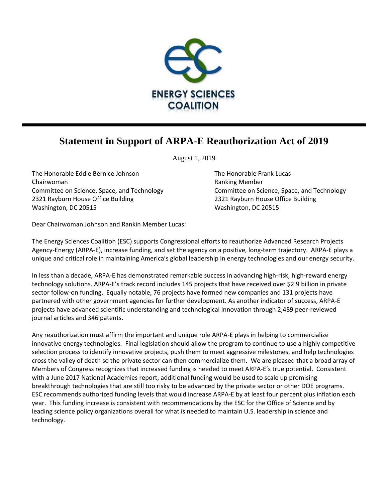

## **Statement in Support of ARPA-E Reauthorization Act of 2019**

August 1, 2019

The Honorable Eddie Bernice Johnson The Honorable Frank Lucas Chairwoman **Ranking Member Ranking Member Ranking Member** 2321 Rayburn House Office Building 2321 Rayburn House Office Building Washington, DC 20515 Washington, DC 20515

Committee on Science, Space, and Technology Committee on Science, Space, and Technology

Dear Chairwoman Johnson and Rankin Member Lucas:

The Energy Sciences Coalition (ESC) supports Congressional efforts to reauthorize Advanced Research Projects Agency-Energy (ARPA-E), increase funding, and set the agency on a positive, long-term trajectory. ARPA-E plays a unique and critical role in maintaining America's global leadership in energy technologies and our energy security.

In less than a decade, ARPA-E has demonstrated remarkable success in advancing high-risk, high-reward energy technology solutions. ARPA-E's track record includes 145 projects that have received over \$2.9 billion in private sector follow-on funding. Equally notable, 76 projects have formed new companies and 131 projects have partnered with other government agencies for further development. As another indicator of success, ARPA-E projects have advanced scientific understanding and technological innovation through 2,489 peer-reviewed journal articles and 346 patents.

Any reauthorization must affirm the important and unique role ARPA-E plays in helping to commercialize innovative energy technologies. Final legislation should allow the program to continue to use a highly competitive selection process to identify innovative projects, push them to meet aggressive milestones, and help technologies cross the valley of death so the private sector can then commercialize them. We are pleased that a broad array of Members of Congress recognizes that increased funding is needed to meet ARPA-E's true potential. Consistent with a June 2017 National Academies report, additional funding would be used to scale up promising breakthrough technologies that are still too risky to be advanced by the private sector or other DOE programs. ESC recommends authorized funding levels that would increase ARPA-E by at least four percent plus inflation each year. This funding increase is consistent with recommendations by the ESC for the Office of Science and by leading science policy organizations overall for what is needed to maintain U.S. leadership in science and technology.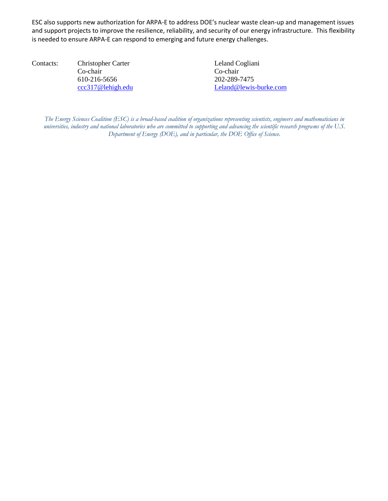ESC also supports new authorization for ARPA-E to address DOE's nuclear waste clean-up and management issues and support projects to improve the resilience, reliability, and security of our energy infrastructure. This flexibility is needed to ensure ARPA-E can respond to emerging and future energy challenges.

Contacts: Christopher Carter Leland Cogliani Co-chair Co-chair 610-216-5656 202-289-7475

[ccc317@lehigh.edu](mailto:ccc317@lehigh.edu) [Leland@lewis-burke.com](mailto:Leland@lewis-burke.com)

*The Energy Sciences Coalition (ESC) is a broad-based coalition of organizations representing scientists, engineers and mathematicians in universities, industry and national laboratories who are committed to supporting and advancing the scientific research programs of the U.S. Department of Energy (DOE), and in particular, the DOE Office of Science.*